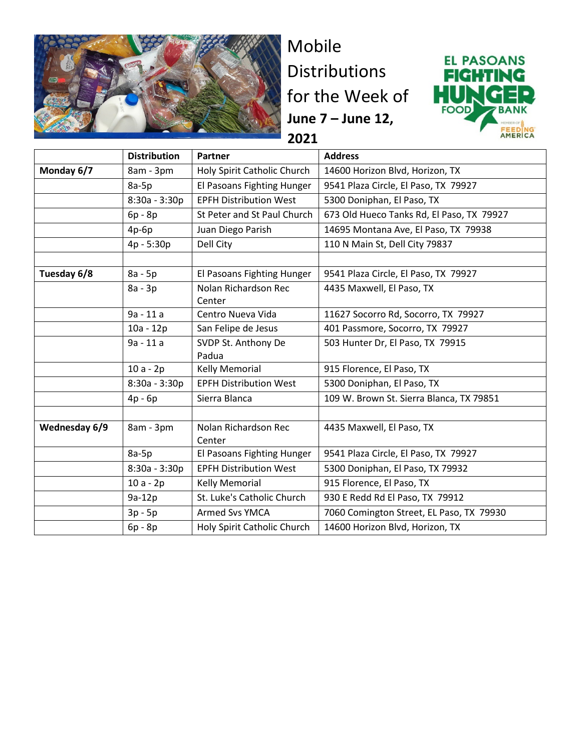

Mobile Distributions for the Week of **June 7 – June 12, 2021**



|               | <b>Distribution</b> | Partner                        | <b>Address</b>                            |
|---------------|---------------------|--------------------------------|-------------------------------------------|
| Monday 6/7    | 8am - 3pm           | Holy Spirit Catholic Church    | 14600 Horizon Blvd, Horizon, TX           |
|               | $8a-5p$             | El Pasoans Fighting Hunger     | 9541 Plaza Circle, El Paso, TX 79927      |
|               | 8:30a - 3:30p       | <b>EPFH Distribution West</b>  | 5300 Doniphan, El Paso, TX                |
|               | 6p - 8p             | St Peter and St Paul Church    | 673 Old Hueco Tanks Rd, El Paso, TX 79927 |
|               | $4p-6p$             | Juan Diego Parish              | 14695 Montana Ave, El Paso, TX 79938      |
|               | 4p - 5:30p          | Dell City                      | 110 N Main St, Dell City 79837            |
|               |                     |                                |                                           |
| Tuesday 6/8   | 8a - 5p             | El Pasoans Fighting Hunger     | 9541 Plaza Circle, El Paso, TX 79927      |
|               | 8a - 3p             | Nolan Richardson Rec<br>Center | 4435 Maxwell, El Paso, TX                 |
|               | 9a - 11 a           | Centro Nueva Vida              | 11627 Socorro Rd, Socorro, TX 79927       |
|               | $10a - 12p$         | San Felipe de Jesus            | 401 Passmore, Socorro, TX 79927           |
|               | 9a - 11 a           | SVDP St. Anthony De<br>Padua   | 503 Hunter Dr, El Paso, TX 79915          |
|               | $10a - 2p$          | <b>Kelly Memorial</b>          | 915 Florence, El Paso, TX                 |
|               | $8:30a - 3:30p$     | <b>EPFH Distribution West</b>  | 5300 Doniphan, El Paso, TX                |
|               | 4p - 6p             | Sierra Blanca                  | 109 W. Brown St. Sierra Blanca, TX 79851  |
|               |                     |                                |                                           |
| Wednesday 6/9 | 8am - 3pm           | Nolan Richardson Rec<br>Center | 4435 Maxwell, El Paso, TX                 |
|               | $8a-5p$             | El Pasoans Fighting Hunger     | 9541 Plaza Circle, El Paso, TX 79927      |
|               | $8:30a - 3:30p$     | <b>EPFH Distribution West</b>  | 5300 Doniphan, El Paso, TX 79932          |
|               | $10a - 2p$          | <b>Kelly Memorial</b>          | 915 Florence, El Paso, TX                 |
|               | 9a-12p              | St. Luke's Catholic Church     | 930 E Redd Rd El Paso, TX 79912           |
|               | $3p - 5p$           | Armed Svs YMCA                 | 7060 Comington Street, EL Paso, TX 79930  |
|               | 6p - 8p             | Holy Spirit Catholic Church    | 14600 Horizon Blvd, Horizon, TX           |